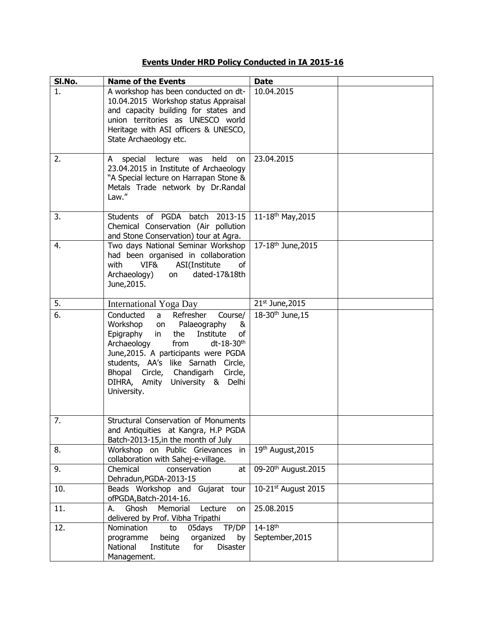## **Events Under HRD Policy Conducted in IA 2015-16**

| SI.No. | <b>Name of the Events</b>                                                                                                                                                                                                                                                                                                                   | <b>Date</b>                                |  |
|--------|---------------------------------------------------------------------------------------------------------------------------------------------------------------------------------------------------------------------------------------------------------------------------------------------------------------------------------------------|--------------------------------------------|--|
| 1.     | A workshop has been conducted on dt-<br>10.04.2015 Workshop status Appraisal<br>and capacity building for states and<br>union territories as UNESCO world<br>Heritage with ASI officers & UNESCO,<br>State Archaeology etc.                                                                                                                 | 10.04.2015                                 |  |
| 2.     | special lecture was<br>held<br>A<br>on<br>23.04.2015 in Institute of Archaeology<br>"A Special lecture on Harrapan Stone &<br>Metals Trade network by Dr.Randal<br>Law."                                                                                                                                                                    | 23.04.2015                                 |  |
| 3.     | Students of PGDA batch 2013-15<br>Chemical Conservation (Air pollution<br>and Stone Conservation) tour at Agra.                                                                                                                                                                                                                             | 11-18th May, 2015                          |  |
| 4.     | Two days National Seminar Workshop<br>had been organised in collaboration<br>ASI(Institute<br>VIF&<br>with<br>of<br>Archaeology)<br>dated-17&18th<br>on<br>June, 2015.                                                                                                                                                                      | 17-18 <sup>th</sup> June, 2015             |  |
| 5.     | <b>International Yoga Day</b>                                                                                                                                                                                                                                                                                                               | $21st$ June, 2015                          |  |
| 6.     | Conducted<br>Refresher<br>Course/<br>a<br>Workshop on Palaeography<br>&<br>Institute<br>Epigraphy<br>the<br>of<br>in<br>Archaeology<br>dt-18-30 <sup>th</sup><br>from<br>June, 2015. A participants were PGDA<br>students, AA's like Sarnath Circle,<br>Bhopal Circle, Chandigarh Circle,<br>DIHRA, Amity University & Delhi<br>University. | 18-30 <sup>th</sup> June, 15               |  |
| 7.     | Structural Conservation of Monuments<br>and Antiquities at Kangra, H.P PGDA<br>Batch-2013-15, in the month of July                                                                                                                                                                                                                          |                                            |  |
| 8.     | Workshop on Public Grievances in<br>collaboration with Sahej-e-village.                                                                                                                                                                                                                                                                     | 19th August, 2015                          |  |
| 9.     | Chemical<br>conservation<br>at<br>Dehradun, PGDA-2013-15                                                                                                                                                                                                                                                                                    | 09-20 <sup>th</sup> August.2015            |  |
| 10.    | Beads Workshop and Gujarat tour<br>ofPGDA, Batch-2014-16.                                                                                                                                                                                                                                                                                   | 10-21st August 2015                        |  |
| 11.    | Ghosh<br>Memorial<br>Lecture<br>А.<br>on<br>delivered by Prof. Vibha Tripathi                                                                                                                                                                                                                                                               | 25.08.2015                                 |  |
| 12.    | 05days<br>TP/DP<br>Nomination<br>to<br>being<br>organized<br>programme<br>by<br>National<br>Institute<br>for<br><b>Disaster</b><br>Management.                                                                                                                                                                                              | $14 - 18$ <sup>th</sup><br>September, 2015 |  |